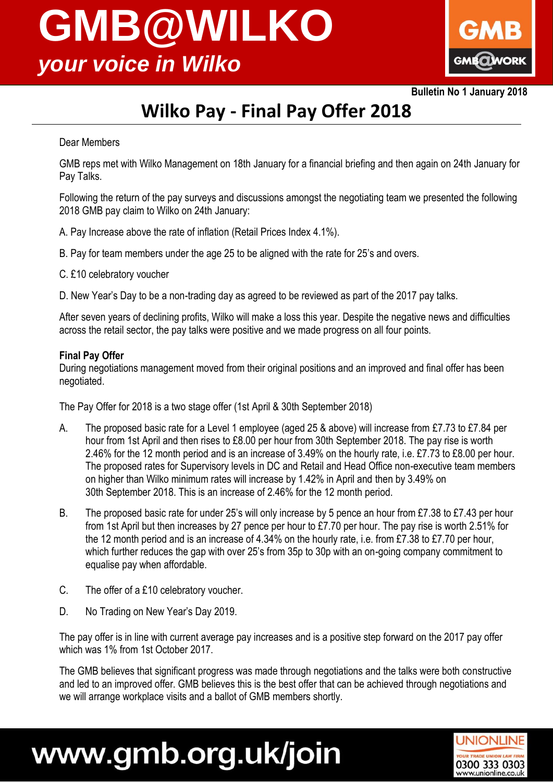# **GMB@WILKO**  *your voice in Wilko*



**Bulletin No 1 January 2018**

#### **Wilko Pay - Final Pay Offer 2018**

#### Dear Members

GMB reps met with Wilko Management on 18th January for a financial briefing and then again on 24th January for Pay Talks.

Following the return of the pay surveys and discussions amongst the negotiating team we presented the following 2018 GMB pay claim to Wilko on 24th January:

- A. Pay Increase above the rate of inflation (Retail Prices Index 4.1%).
- B. Pay for team members under the age 25 to be aligned with the rate for 25's and overs.
- C. £10 celebratory voucher
- D. New Year's Day to be a non-trading day as agreed to be reviewed as part of the 2017 pay talks.

After seven years of declining profits, Wilko will make a loss this year. Despite the negative news and difficulties across the retail sector, the pay talks were positive and we made progress on all four points.

#### **Final Pay Offer**

During negotiations management moved from their original positions and an improved and final offer has been negotiated.

The Pay Offer for 2018 is a two stage offer (1st April & 30th September 2018)

- A. The proposed basic rate for a Level 1 employee (aged 25 & above) will increase from £7.73 to £7.84 per hour from 1st April and then rises to £8.00 per hour from 30th September 2018. The pay rise is worth 2.46% for the 12 month period and is an increase of 3.49% on the hourly rate, i.e. £7.73 to £8.00 per hour. The proposed rates for Supervisory levels in DC and Retail and Head Office non-executive team members on higher than Wilko minimum rates will increase by 1.42% in April and then by 3.49% on 30th September 2018. This is an increase of 2.46% for the 12 month period.
- B. The proposed basic rate for under 25's will only increase by 5 pence an hour from £7.38 to £7.43 per hour from 1st April but then increases by 27 pence per hour to £7.70 per hour. The pay rise is worth 2.51% for the 12 month period and is an increase of 4.34% on the hourly rate, i.e. from £7.38 to £7.70 per hour, which further reduces the gap with over 25's from 35p to 30p with an on-going company commitment to equalise pay when affordable.
- C. The offer of a £10 celebratory voucher.
- D. No Trading on New Year's Day 2019.

The pay offer is in line with current average pay increases and is a positive step forward on the 2017 pay offer which was 1% from 1st October 2017.

The GMB believes that significant progress was made through negotiations and the talks were both constructive and led to an improved offer. GMB believes this is the best offer that can be achieved through negotiations and we will arrange workplace visits and a ballot of GMB members shortly.

## www.gmb.org.uk/join

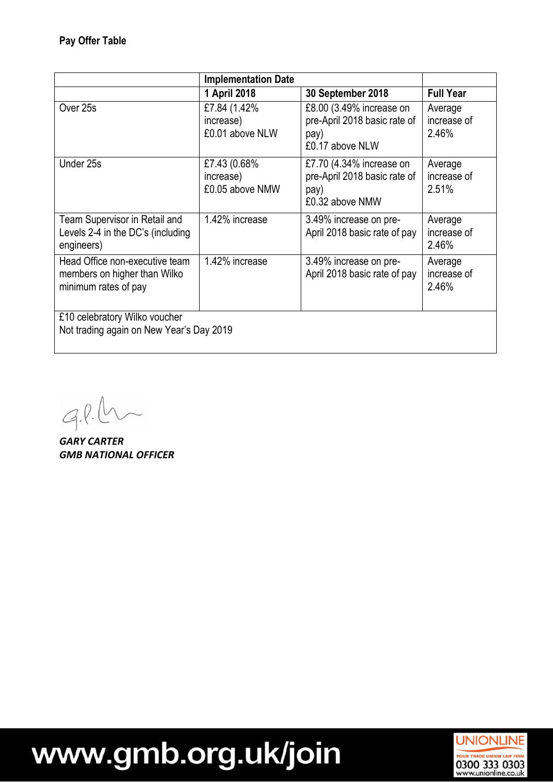|                                                                                        | <b>Implementation Date</b>                    |                                                                                     |                                 |  |  |
|----------------------------------------------------------------------------------------|-----------------------------------------------|-------------------------------------------------------------------------------------|---------------------------------|--|--|
|                                                                                        | 1 April 2018                                  | 30 September 2018                                                                   | <b>Full Year</b>                |  |  |
| Over 25s                                                                               | £7.84 (1.42%)<br>increase)<br>£0.01 above NLW | £8.00 (3.49% increase on<br>pre-April 2018 basic rate of<br>pay)<br>£0.17 above NLW | Average<br>increase of<br>2.46% |  |  |
| Under 25s                                                                              | £7.43 (0.68%<br>increase)<br>£0.05 above NMW  | £7.70 (4.34% increase on<br>pre-April 2018 basic rate of<br>pay)<br>£0.32 above NMW | Average<br>increase of<br>2.51% |  |  |
| Team Supervisor in Retail and<br>Levels 2-4 in the DC's (including<br>engineers)       | 1.42% increase                                | 3.49% increase on pre-<br>April 2018 basic rate of pay                              | Average<br>increase of<br>2.46% |  |  |
| Head Office non-executive team<br>members on higher than Wilko<br>minimum rates of pay | 1.42% increase                                | 3.49% increase on pre-<br>April 2018 basic rate of pay                              | Average<br>increase of<br>2.46% |  |  |
| £10 celebratory Wilko voucher<br>Not trading again on New Year's Day 2019              |                                               |                                                                                     |                                 |  |  |

 $9.8.0$ 

*GARY CARTER GMB NATIONAL OFFICER*